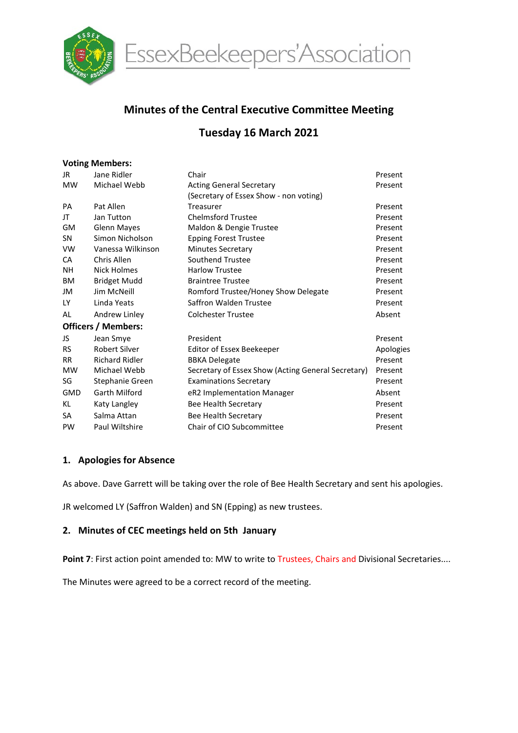

EssexBeekeepers'Association

# Minutes of the Central Executive Committee Meeting

# Tuesday 16 March 2021

#### Voting Members:

| JR.                        | Jane Ridler           | Chair                                              | Present   |  |  |  |  |  |
|----------------------------|-----------------------|----------------------------------------------------|-----------|--|--|--|--|--|
| <b>MW</b>                  | Michael Webb          | <b>Acting General Secretary</b>                    | Present   |  |  |  |  |  |
|                            |                       | (Secretary of Essex Show - non voting)             |           |  |  |  |  |  |
| PA                         | Pat Allen             | Treasurer                                          | Present   |  |  |  |  |  |
| JT                         | Jan Tutton            | <b>Chelmsford Trustee</b>                          | Present   |  |  |  |  |  |
| <b>GM</b>                  | <b>Glenn Mayes</b>    | Maldon & Dengie Trustee                            | Present   |  |  |  |  |  |
| <b>SN</b>                  | Simon Nicholson       | <b>Epping Forest Trustee</b>                       | Present   |  |  |  |  |  |
| <b>VW</b>                  | Vanessa Wilkinson     | <b>Minutes Secretary</b>                           | Present   |  |  |  |  |  |
| <b>CA</b>                  | Chris Allen           | Southend Trustee                                   | Present   |  |  |  |  |  |
| NΗ                         | Nick Holmes           | <b>Harlow Trustee</b>                              | Present   |  |  |  |  |  |
| <b>BM</b>                  | <b>Bridget Mudd</b>   | <b>Braintree Trustee</b>                           | Present   |  |  |  |  |  |
| JM                         | Jim McNeill           | Romford Trustee/Honey Show Delegate                | Present   |  |  |  |  |  |
| LY.                        | Linda Yeats           | Saffron Walden Trustee                             | Present   |  |  |  |  |  |
| AL                         | Andrew Linley         | <b>Colchester Trustee</b>                          | Absent    |  |  |  |  |  |
| <b>Officers / Members:</b> |                       |                                                    |           |  |  |  |  |  |
| JS                         | Jean Smye             | President                                          | Present   |  |  |  |  |  |
| <b>RS</b>                  | <b>Robert Silver</b>  | Editor of Essex Beekeeper                          | Apologies |  |  |  |  |  |
| <b>RR</b>                  | <b>Richard Ridler</b> | <b>BBKA Delegate</b>                               | Present   |  |  |  |  |  |
| <b>MW</b>                  | Michael Webb          | Secretary of Essex Show (Acting General Secretary) | Present   |  |  |  |  |  |
| SG                         | Stephanie Green       | <b>Examinations Secretary</b>                      | Present   |  |  |  |  |  |
| <b>GMD</b>                 | Garth Milford         | eR2 Implementation Manager                         | Absent    |  |  |  |  |  |
| KL                         | Katy Langley          | Bee Health Secretary                               | Present   |  |  |  |  |  |
| SA                         | Salma Attan           | Bee Health Secretary                               | Present   |  |  |  |  |  |
| PW                         | Paul Wiltshire        | Chair of CIO Subcommittee                          | Present   |  |  |  |  |  |

## 1. Apologies for Absence

As above. Dave Garrett will be taking over the role of Bee Health Secretary and sent his apologies.

JR welcomed LY (Saffron Walden) and SN (Epping) as new trustees.

## 2. Minutes of CEC meetings held on 5th January

Point 7: First action point amended to: MW to write to Trustees, Chairs and Divisional Secretaries....

The Minutes were agreed to be a correct record of the meeting.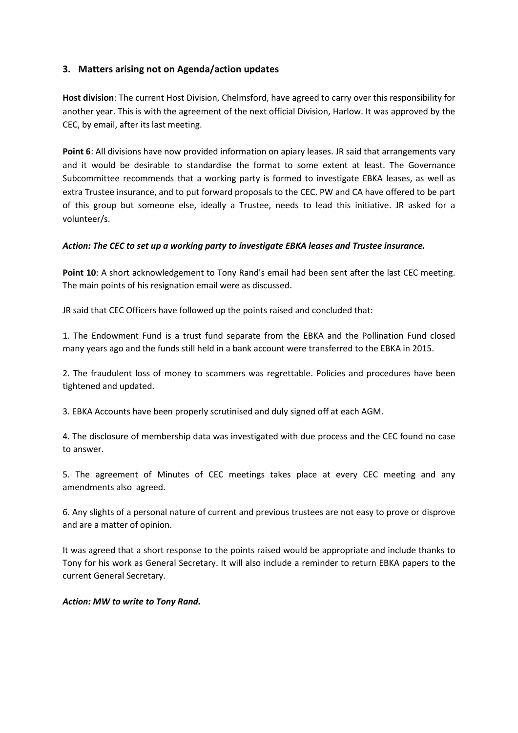# 3. Matters arising not on Agenda/action updates

Host division: The current Host Division, Chelmsford, have agreed to carry over this responsibility for another year. This is with the agreement of the next official Division, Harlow. It was approved by the CEC, by email, after its last meeting.

Point 6: All divisions have now provided information on apiary leases. JR said that arrangements vary and it would be desirable to standardise the format to some extent at least. The Governance Subcommittee recommends that a working party is formed to investigate EBKA leases, as well as extra Trustee insurance, and to put forward proposals to the CEC. PW and CA have offered to be part of this group but someone else, ideally a Trustee, needs to lead this initiative. JR asked for a volunteer/s.

#### Action: The CEC to set up a working party to investigate EBKA leases and Trustee insurance.

Point 10: A short acknowledgement to Tony Rand's email had been sent after the last CEC meeting. The main points of his resignation email were as discussed.

JR said that CEC Officers have followed up the points raised and concluded that:

1. The Endowment Fund is a trust fund separate from the EBKA and the Pollination Fund closed many years ago and the funds still held in a bank account were transferred to the EBKA in 2015.

2. The fraudulent loss of money to scammers was regrettable. Policies and procedures have been tightened and updated.

3. EBKA Accounts have been properly scrutinised and duly signed off at each AGM.

4. The disclosure of membership data was investigated with due process and the CEC found no case to answer.

5. The agreement of Minutes of CEC meetings takes place at every CEC meeting and any amendments also agreed.

6. Any slights of a personal nature of current and previous trustees are not easy to prove or disprove and are a matter of opinion.

It was agreed that a short response to the points raised would be appropriate and include thanks to Tony for his work as General Secretary. It will also include a reminder to return EBKA papers to the current General Secretary.

#### Action: MW to write to Tony Rand.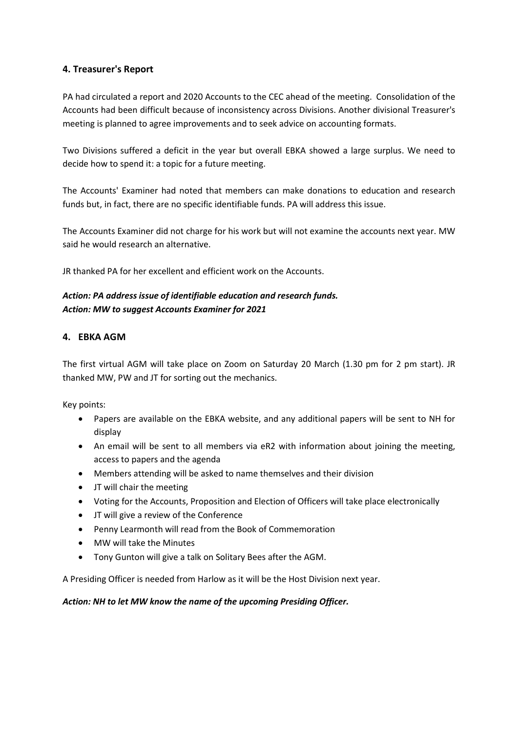# 4. Treasurer's Report

PA had circulated a report and 2020 Accounts to the CEC ahead of the meeting. Consolidation of the Accounts had been difficult because of inconsistency across Divisions. Another divisional Treasurer's meeting is planned to agree improvements and to seek advice on accounting formats.

Two Divisions suffered a deficit in the year but overall EBKA showed a large surplus. We need to decide how to spend it: a topic for a future meeting.

The Accounts' Examiner had noted that members can make donations to education and research funds but, in fact, there are no specific identifiable funds. PA will address this issue.

The Accounts Examiner did not charge for his work but will not examine the accounts next year. MW said he would research an alternative.

JR thanked PA for her excellent and efficient work on the Accounts.

# Action: PA address issue of identifiable education and research funds. Action: MW to suggest Accounts Examiner for 2021

# 4. EBKA AGM

The first virtual AGM will take place on Zoom on Saturday 20 March (1.30 pm for 2 pm start). JR thanked MW, PW and JT for sorting out the mechanics.

Key points:

- Papers are available on the EBKA website, and any additional papers will be sent to NH for display
- An email will be sent to all members via eR2 with information about joining the meeting, access to papers and the agenda
- Members attending will be asked to name themselves and their division
- JT will chair the meeting
- Voting for the Accounts, Proposition and Election of Officers will take place electronically
- JT will give a review of the Conference
- Penny Learmonth will read from the Book of Commemoration
- MW will take the Minutes
- Tony Gunton will give a talk on Solitary Bees after the AGM.

A Presiding Officer is needed from Harlow as it will be the Host Division next year.

Action: NH to let MW know the name of the upcoming Presiding Officer.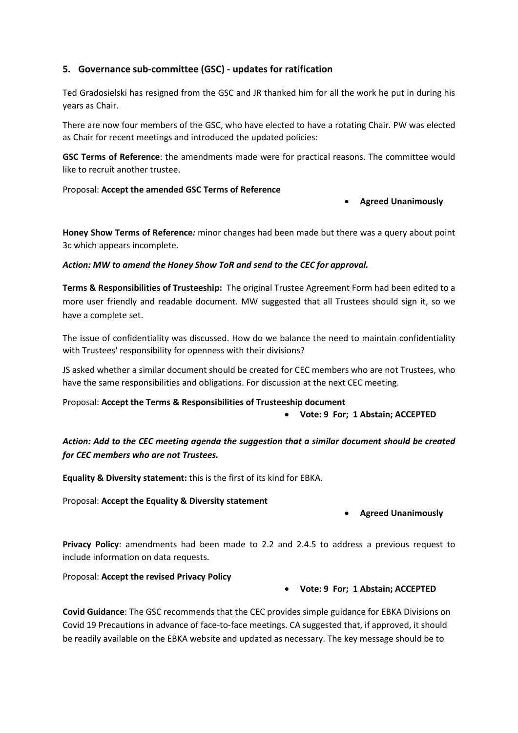# 5. Governance sub-committee (GSC) - updates for ratification

Ted Gradosielski has resigned from the GSC and JR thanked him for all the work he put in during his years as Chair.

There are now four members of the GSC, who have elected to have a rotating Chair. PW was elected as Chair for recent meetings and introduced the updated policies:

GSC Terms of Reference: the amendments made were for practical reasons. The committee would like to recruit another trustee.

Proposal: Accept the amended GSC Terms of Reference

#### Agreed Unanimously

Honey Show Terms of Reference: minor changes had been made but there was a query about point 3c which appears incomplete.

Action: MW to amend the Honey Show ToR and send to the CEC for approval.

Terms & Responsibilities of Trusteeship: The original Trustee Agreement Form had been edited to a more user friendly and readable document. MW suggested that all Trustees should sign it, so we have a complete set.

The issue of confidentiality was discussed. How do we balance the need to maintain confidentiality with Trustees' responsibility for openness with their divisions?

JS asked whether a similar document should be created for CEC members who are not Trustees, who have the same responsibilities and obligations. For discussion at the next CEC meeting.

Proposal: Accept the Terms & Responsibilities of Trusteeship document

Vote: 9 For; 1 Abstain; ACCEPTED

Action: Add to the CEC meeting agenda the suggestion that a similar document should be created for CEC members who are not Trustees.

Equality & Diversity statement: this is the first of its kind for EBKA.

Proposal: Accept the Equality & Diversity statement

## Agreed Unanimously

Privacy Policy: amendments had been made to 2.2 and 2.4.5 to address a previous request to include information on data requests.

Proposal: Accept the revised Privacy Policy

## Vote: 9 For; 1 Abstain; ACCEPTED

Covid Guidance: The GSC recommends that the CEC provides simple guidance for EBKA Divisions on Covid 19 Precautions in advance of face-to-face meetings. CA suggested that, if approved, it should be readily available on the EBKA website and updated as necessary. The key message should be to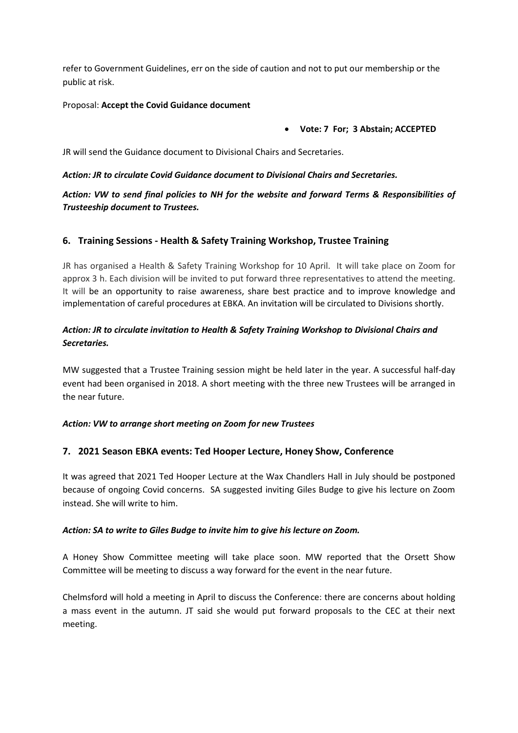refer to Government Guidelines, err on the side of caution and not to put our membership or the public at risk.

### Proposal: Accept the Covid Guidance document

#### Vote: 7 For; 3 Abstain; ACCEPTED

JR will send the Guidance document to Divisional Chairs and Secretaries.

#### Action: JR to circulate Covid Guidance document to Divisional Chairs and Secretaries.

# Action: VW to send final policies to NH for the website and forward Terms & Responsibilities of Trusteeship document to Trustees.

## 6. Training Sessions - Health & Safety Training Workshop, Trustee Training

JR has organised a Health & Safety Training Workshop for 10 April. It will take place on Zoom for approx 3 h. Each division will be invited to put forward three representatives to attend the meeting. It will be an opportunity to raise awareness, share best practice and to improve knowledge and implementation of careful procedures at EBKA. An invitation will be circulated to Divisions shortly.

# Action: JR to circulate invitation to Health & Safety Training Workshop to Divisional Chairs and Secretaries.

MW suggested that a Trustee Training session might be held later in the year. A successful half-day event had been organised in 2018. A short meeting with the three new Trustees will be arranged in the near future.

## Action: VW to arrange short meeting on Zoom for new Trustees

## 7. 2021 Season EBKA events: Ted Hooper Lecture, Honey Show, Conference

It was agreed that 2021 Ted Hooper Lecture at the Wax Chandlers Hall in July should be postponed because of ongoing Covid concerns. SA suggested inviting Giles Budge to give his lecture on Zoom instead. She will write to him.

#### Action: SA to write to Giles Budge to invite him to give his lecture on Zoom.

A Honey Show Committee meeting will take place soon. MW reported that the Orsett Show Committee will be meeting to discuss a way forward for the event in the near future.

Chelmsford will hold a meeting in April to discuss the Conference: there are concerns about holding a mass event in the autumn. JT said she would put forward proposals to the CEC at their next meeting.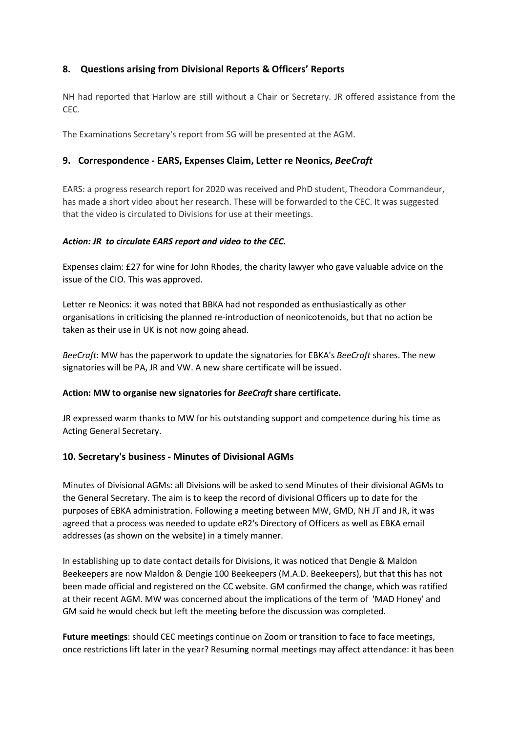# 8. Questions arising from Divisional Reports & Officers' Reports

NH had reported that Harlow are still without a Chair or Secretary. JR offered assistance from the CEC.

The Examinations Secretary's report from SG will be presented at the AGM.

## 9. Correspondence - EARS, Expenses Claim, Letter re Neonics, BeeCraft

EARS: a progress research report for 2020 was received and PhD student, Theodora Commandeur, has made a short video about her research. These will be forwarded to the CEC. It was suggested that the video is circulated to Divisions for use at their meetings.

#### Action: JR to circulate EARS report and video to the CEC.

Expenses claim: £27 for wine for John Rhodes, the charity lawyer who gave valuable advice on the issue of the CIO. This was approved.

Letter re Neonics: it was noted that BBKA had not responded as enthusiastically as other organisations in criticising the planned re-introduction of neonicotenoids, but that no action be taken as their use in UK is not now going ahead.

BeeCraft: MW has the paperwork to update the signatories for EBKA's BeeCraft shares. The new signatories will be PA, JR and VW. A new share certificate will be issued.

#### Action: MW to organise new signatories for BeeCraft share certificate.

JR expressed warm thanks to MW for his outstanding support and competence during his time as Acting General Secretary.

## 10. Secretary's business - Minutes of Divisional AGMs

Minutes of Divisional AGMs: all Divisions will be asked to send Minutes of their divisional AGMs to the General Secretary. The aim is to keep the record of divisional Officers up to date for the purposes of EBKA administration. Following a meeting between MW, GMD, NH JT and JR, it was agreed that a process was needed to update eR2's Directory of Officers as well as EBKA email addresses (as shown on the website) in a timely manner.

In establishing up to date contact details for Divisions, it was noticed that Dengie & Maldon Beekeepers are now Maldon & Dengie 100 Beekeepers (M.A.D. Beekeepers), but that this has not been made official and registered on the CC website. GM confirmed the change, which was ratified at their recent AGM. MW was concerned about the implications of the term of 'MAD Honey' and GM said he would check but left the meeting before the discussion was completed.

Future meetings: should CEC meetings continue on Zoom or transition to face to face meetings, once restrictions lift later in the year? Resuming normal meetings may affect attendance: it has been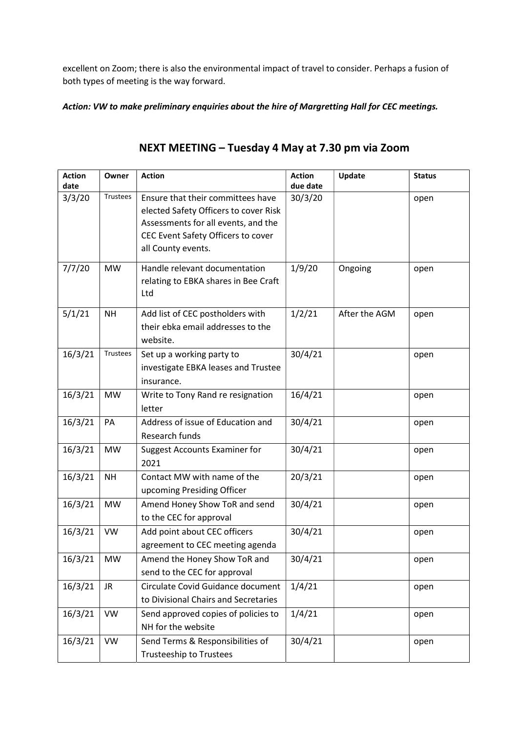excellent on Zoom; there is also the environmental impact of travel to consider. Perhaps a fusion of both types of meeting is the way forward.

Action: VW to make preliminary enquiries about the hire of Margretting Hall for CEC meetings.

| <b>Action</b><br>date | Owner     | <b>Action</b>                                                                                                                                                                 | <b>Action</b><br>due date | Update        | <b>Status</b> |
|-----------------------|-----------|-------------------------------------------------------------------------------------------------------------------------------------------------------------------------------|---------------------------|---------------|---------------|
| 3/3/20                | Trustees  | Ensure that their committees have<br>elected Safety Officers to cover Risk<br>Assessments for all events, and the<br>CEC Event Safety Officers to cover<br>all County events. | 30/3/20                   |               | open          |
| 7/7/20                | <b>MW</b> | Handle relevant documentation<br>relating to EBKA shares in Bee Craft<br>Ltd                                                                                                  | 1/9/20                    | Ongoing       | open          |
| 5/1/21                | <b>NH</b> | Add list of CEC postholders with<br>their ebka email addresses to the<br>website.                                                                                             | 1/2/21                    | After the AGM | open          |
| 16/3/21               | Trustees  | Set up a working party to<br>investigate EBKA leases and Trustee<br>insurance.                                                                                                | 30/4/21                   |               | open          |
| 16/3/21               | <b>MW</b> | Write to Tony Rand re resignation<br>letter                                                                                                                                   | 16/4/21                   |               | open          |
| 16/3/21               | PA        | Address of issue of Education and<br>Research funds                                                                                                                           | 30/4/21                   |               | open          |
| 16/3/21               | <b>MW</b> | <b>Suggest Accounts Examiner for</b><br>2021                                                                                                                                  | 30/4/21                   |               | open          |
| 16/3/21               | <b>NH</b> | Contact MW with name of the<br>upcoming Presiding Officer                                                                                                                     | 20/3/21                   |               | open          |
| 16/3/21               | <b>MW</b> | Amend Honey Show ToR and send<br>to the CEC for approval                                                                                                                      | 30/4/21                   |               | open          |
| 16/3/21               | <b>VW</b> | Add point about CEC officers<br>agreement to CEC meeting agenda                                                                                                               | 30/4/21                   |               | open          |
| 16/3/21               | $\mid$ MW | Amend the Honey Show ToR and<br>send to the CEC for approval                                                                                                                  | 30/4/21                   |               | open          |
| 16/3/21               | JR.       | Circulate Covid Guidance document<br>to Divisional Chairs and Secretaries                                                                                                     | 1/4/21                    |               | open          |
| 16/3/21               | <b>VW</b> | Send approved copies of policies to<br>NH for the website                                                                                                                     | 1/4/21                    |               | open          |
| 16/3/21               | VW        | Send Terms & Responsibilities of<br><b>Trusteeship to Trustees</b>                                                                                                            | 30/4/21                   |               | open          |

# NEXT MEETING – Tuesday 4 May at 7.30 pm via Zoom